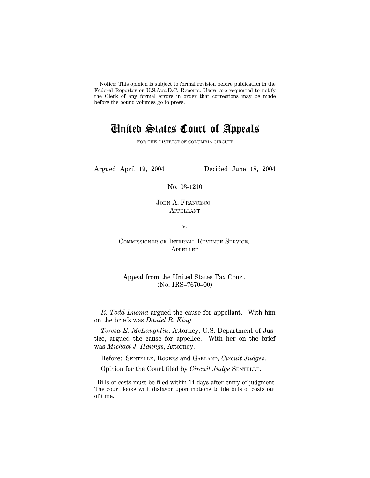Notice: This opinion is subject to formal revision before publication in the Federal Reporter or U.S.App.D.C. Reports. Users are requested to notify the Clerk of any formal errors in order that corrections may be made before the bound volumes go to press.

# United States Court of Appeals

FOR THE DISTRICT OF COLUMBIA CIRCUIT

Argued April 19, 2004 Decided June 18, 2004

No. 03-1210

JOHN A. FRANCISCO, APPELLANT

v.

COMMISSIONER OF INTERNAL REVENUE SERVICE, **APPELLEE** 

Appeal from the United States Tax Court (No. IRS–7670–00)

*R. Todd Luoma* argued the cause for appellant. With him on the briefs was *Daniel R. King*.

*Teresa E. McLaughlin*, Attorney, U.S. Department of Justice, argued the cause for appellee. With her on the brief was *Michael J. Haungs*, Attorney.

Before: SENTELLE, ROGERS and GARLAND, *Circuit Judges*.

Opinion for the Court filed by *Circuit Judge* SENTELLE.

Bills of costs must be filed within 14 days after entry of judgment. The court looks with disfavor upon motions to file bills of costs out of time.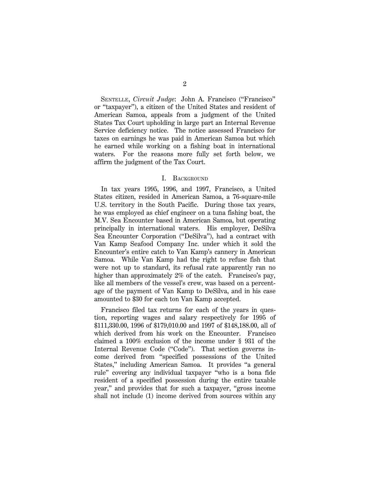SENTELLE, *Circuit Judge*: John A. Francisco (''Francisco'' or ''taxpayer''), a citizen of the United States and resident of American Samoa, appeals from a judgment of the United States Tax Court upholding in large part an Internal Revenue Service deficiency notice. The notice assessed Francisco for taxes on earnings he was paid in American Samoa but which he earned while working on a fishing boat in international waters. For the reasons more fully set forth below, we affirm the judgment of the Tax Court.

#### I. BACKGROUND

In tax years 1995, 1996, and 1997, Francisco, a United States citizen, resided in American Samoa, a 76-square-mile U.S. territory in the South Pacific. During those tax years, he was employed as chief engineer on a tuna fishing boat, the M.V. Sea Encounter based in American Samoa, but operating principally in international waters. His employer, DeSilva Sea Encounter Corporation (''DeSilva''), had a contract with Van Kamp Seafood Company Inc. under which it sold the Encounter's entire catch to Van Kamp's cannery in American Samoa. While Van Kamp had the right to refuse fish that were not up to standard, its refusal rate apparently ran no higher than approximately 2% of the catch. Francisco's pay, like all members of the vessel's crew, was based on a percentage of the payment of Van Kamp to DeSilva, and in his case amounted to \$30 for each ton Van Kamp accepted.

Francisco filed tax returns for each of the years in question, reporting wages and salary respectively for 1995 of \$111,330.00, 1996 of \$179,010.00 and 1997 of \$148,188.00, all of which derived from his work on the Encounter. Francisco claimed a 100% exclusion of the income under § 931 of the Internal Revenue Code ("Code"). That section governs income derived from ''specified possessions of the United States,'' including American Samoa. It provides ''a general rule'' covering any individual taxpayer ''who is a bona fide resident of a specified possession during the entire taxable year,'' and provides that for such a taxpayer, ''gross income shall not include (1) income derived from sources within any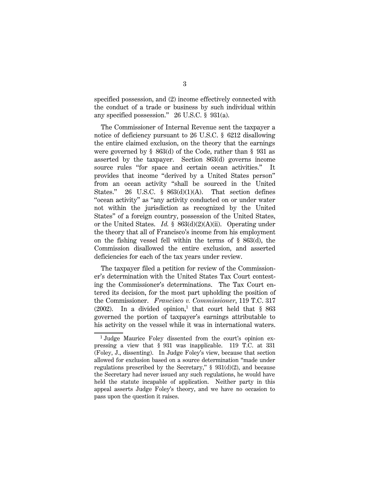specified possession, and (2) income effectively connected with the conduct of a trade or business by such individual within any specified possession.'' 26 U.S.C. § 931(a).

The Commissioner of Internal Revenue sent the taxpayer a notice of deficiency pursuant to 26 U.S.C. § 6212 disallowing the entire claimed exclusion, on the theory that the earnings were governed by § 863(d) of the Code, rather than § 931 as asserted by the taxpayer. Section 863(d) governs income source rules "for space and certain ocean activities." It provides that income ''derived by a United States person'' from an ocean activity ''shall be sourced in the United States." 26 U.S.C.  $\frac{1}{5}$  863(d)(1)(A). That section defines "ocean activity" as "any activity conducted on or under water not within the jurisdiction as recognized by the United States'' of a foreign country, possession of the United States, or the United States. *Id.* § 863(d)(2)(A)(ii). Operating under the theory that all of Francisco's income from his employment on the fishing vessel fell within the terms of § 863(d), the Commission disallowed the entire exclusion, and asserted deficiencies for each of the tax years under review.

The taxpayer filed a petition for review of the Commissioner's determination with the United States Tax Court contesting the Commissioner's determinations. The Tax Court entered its decision, for the most part upholding the position of the Commissioner. *Francisco v. Commissioner*, 119 T.C. 317  $(2002)$ . In a divided opinion,<sup>1</sup> that court held that § 863 governed the portion of taxpayer's earnings attributable to his activity on the vessel while it was in international waters.

<sup>&</sup>lt;sup>1</sup> Judge Maurice Foley dissented from the court's opinion expressing a view that § 931 was inapplicable. 119 T.C. at 331 (Foley, J., dissenting). In Judge Foley's view, because that section allowed for exclusion based on a source determination ''made under regulations prescribed by the Secretary,"  $\S$  931(d)(2), and because the Secretary had never issued any such regulations, he would have held the statute incapable of application. Neither party in this appeal asserts Judge Foley's theory, and we have no occasion to pass upon the question it raises.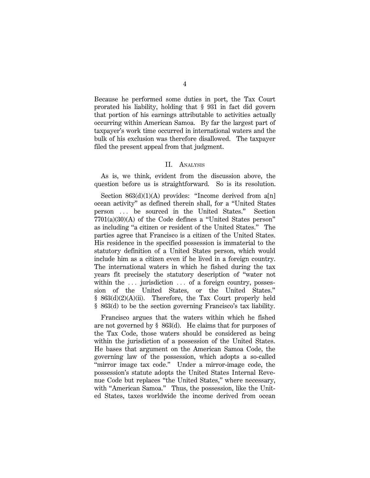Because he performed some duties in port, the Tax Court prorated his liability, holding that § 931 in fact did govern that portion of his earnings attributable to activities actually occurring within American Samoa. By far the largest part of taxpayer's work time occurred in international waters and the bulk of his exclusion was therefore disallowed. The taxpayer filed the present appeal from that judgment.

### II. ANALYSIS

As is, we think, evident from the discussion above, the question before us is straightforward. So is its resolution.

Section  $863(d)(1)(A)$  provides: "Income derived from a[n] ocean activity'' as defined therein shall, for a ''United States person ... be sourced in the United States." Section 7701(a)(30)(A) of the Code defines a ''United States person'' as including ''a citizen or resident of the United States.'' The parties agree that Francisco is a citizen of the United States. His residence in the specified possession is immaterial to the statutory definition of a United States person, which would include him as a citizen even if he lived in a foreign country. The international waters in which he fished during the tax years fit precisely the statutory description of ''water not within the  $\ldots$  jurisdiction  $\ldots$  of a foreign country, possession of the United States, or the United States.'' § 863(d)(2)(A)(ii). Therefore, the Tax Court properly held § 863(d) to be the section governing Francisco's tax liability.

Francisco argues that the waters within which he fished are not governed by § 863(d). He claims that for purposes of the Tax Code, those waters should be considered as being within the jurisdiction of a possession of the United States. He bases that argument on the American Samoa Code, the governing law of the possession, which adopts a so-called "mirror image tax code." Under a mirror-image code, the possession's statute adopts the United States Internal Revenue Code but replaces ''the United States,'' where necessary, with "American Samoa." Thus, the possession, like the United States, taxes worldwide the income derived from ocean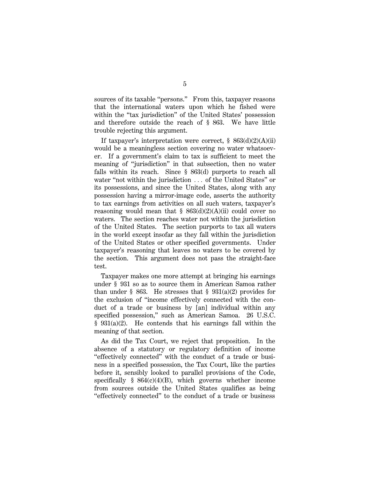sources of its taxable "persons." From this, taxpayer reasons that the international waters upon which he fished were within the "tax jurisdiction" of the United States' possession and therefore outside the reach of § 863. We have little trouble rejecting this argument.

If taxpayer's interpretation were correct,  $\S$  863(d)(2)(A)(ii) would be a meaningless section covering no water whatsoever. If a government's claim to tax is sufficient to meet the meaning of ''jurisdiction'' in that subsection, then no water falls within its reach. Since § 863(d) purports to reach all water "not within the jurisdiction  $\ldots$  of the United States" or its possessions, and since the United States, along with any possession having a mirror-image code, asserts the authority to tax earnings from activities on all such waters, taxpayer's reasoning would mean that  $\S$  863(d)(2)(A)(ii) could cover no waters. The section reaches water not within the jurisdiction of the United States. The section purports to tax all waters in the world except insofar as they fall within the jurisdiction of the United States or other specified governments. Under taxpayer's reasoning that leaves no waters to be covered by the section. This argument does not pass the straight-face test.

Taxpayer makes one more attempt at bringing his earnings under § 931 so as to source them in American Samoa rather than under  $\S$  863. He stresses that  $\S$  931(a)(2) provides for the exclusion of ''income effectively connected with the conduct of a trade or business by [an] individual within any specified possession," such as American Samoa. 26 U.S.C. § 931(a)(2). He contends that his earnings fall within the meaning of that section.

As did the Tax Court, we reject that proposition. In the absence of a statutory or regulatory definition of income ''effectively connected'' with the conduct of a trade or business in a specified possession, the Tax Court, like the parties before it, sensibly looked to parallel provisions of the Code, specifically  $\S$  864(c)(4)(B), which governs whether income from sources outside the United States qualifies as being ''effectively connected'' to the conduct of a trade or business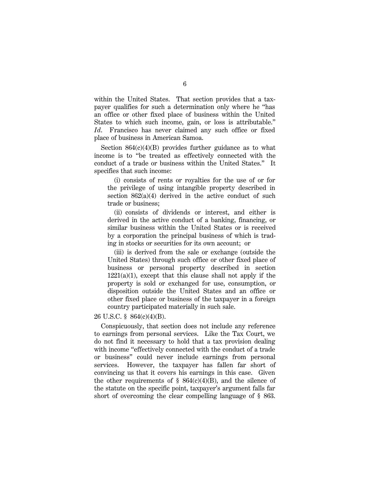within the United States. That section provides that a taxpayer qualifies for such a determination only where he ''has an office or other fixed place of business within the United States to which such income, gain, or loss is attributable.'' *Id*. Francisco has never claimed any such office or fixed place of business in American Samoa.

Section 864(c)(4)(B) provides further guidance as to what income is to ''be treated as effectively connected with the conduct of a trade or business within the United States.'' It specifies that such income:

(i) consists of rents or royalties for the use of or for the privilege of using intangible property described in section  $862(a)(4)$  derived in the active conduct of such trade or business;

(ii) consists of dividends or interest, and either is derived in the active conduct of a banking, financing, or similar business within the United States or is received by a corporation the principal business of which is trading in stocks or securities for its own account; or

(iii) is derived from the sale or exchange (outside the United States) through such office or other fixed place of business or personal property described in section  $1221(a)(1)$ , except that this clause shall not apply if the property is sold or exchanged for use, consumption, or disposition outside the United States and an office or other fixed place or business of the taxpayer in a foreign country participated materially in such sale.

## 26 U.S.C. § 864(c)(4)(B).

Conspicuously, that section does not include any reference to earnings from personal services. Like the Tax Court, we do not find it necessary to hold that a tax provision dealing with income "effectively connected with the conduct of a trade or business'' could never include earnings from personal services. However, the taxpayer has fallen far short of convincing us that it covers his earnings in this case. Given the other requirements of  $\S$  864(c)(4)(B), and the silence of the statute on the specific point, taxpayer's argument falls far short of overcoming the clear compelling language of § 863.